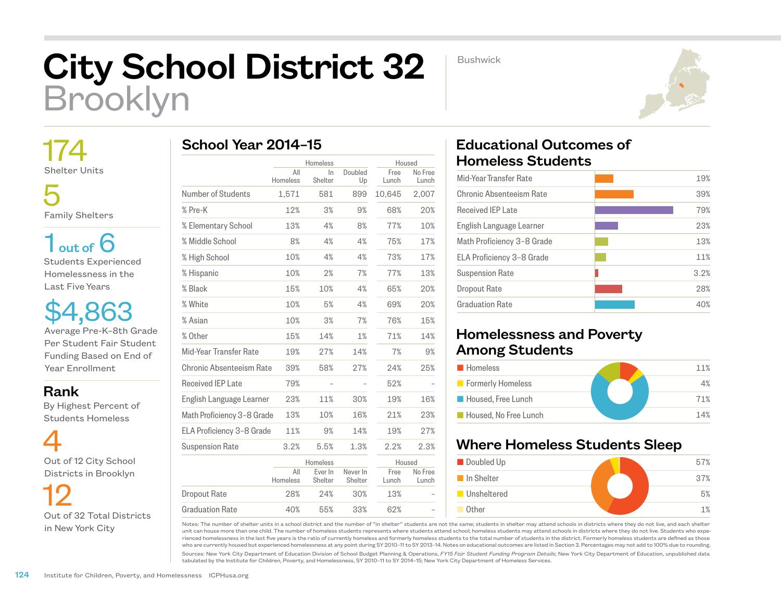# City School District 32 Brooklyn

Bushwick



 174 Shelter Units

 5 Family Shelters

 $1<sub>out of</sub> 6$ Students Experienced Homelessness in the Last Five Years

\$4,863 Average Pre-K–8th Grade Per Student Fair Student Funding Based on End of Year Enrollment

Rank

 By Highest Percent of Students Homeless



 12 Out of 32 Total Districts in New York City

| School Year 2014-15 |  |
|---------------------|--|
|---------------------|--|

|                            |                 | Homeless           |                     | Housed        |                  |
|----------------------------|-----------------|--------------------|---------------------|---------------|------------------|
|                            | All<br>Homeless | $\ln$<br>Shelter   | Doubled<br>Up       | Free<br>Lunch | No Free<br>Lunch |
| Number of Students         | 1,571           | 581                | 899                 | 10,645        | 2,007            |
| % Pre-K                    | 12%             | 3%                 | 9%                  | 68%           | 20%              |
| % Elementary School        | 13%             | 4%                 | 8%                  | 77%           | 10%              |
| % Middle School            | 8%              | 4%                 | 4%                  | 75%           | 17%              |
| % High School              | 10%             | 4%                 | 4%                  | 73%           | 17%              |
| % Hispanic                 | 10%             | 2%                 | 7%                  | 77%           | 13%              |
| % Black                    | 15%             | 10%                | 4%                  | 65%           | 20%              |
| % White                    | 10%             | 5%                 | 4%                  | 69%           | 20%              |
| % Asian                    | 10%             | 3%                 | 7%                  | 76%           | 15%              |
| % Other                    | 15%             | 14%                | 1%                  | 71%           | 14%              |
| Mid-Year Transfer Rate     | 19%             | 27%                | 14%                 | 7%            | 9%               |
| Chronic Absenteeism Rate   | 39%             | 58%                | 27%                 | 24%           | 25%              |
| <b>Received IEP Late</b>   | 79%             |                    |                     | 52%           |                  |
| English Language Learner   | 23%             | 11%                | 30%                 | 19%           | 16%              |
| Math Proficiency 3-8 Grade | 13%             | 10%                | 16%                 | 21%           | 23%              |
| ELA Proficiency 3-8 Grade  | 11%             | 9%                 | 14%                 | 19%           | 27%              |
| <b>Suspension Rate</b>     | 3.2%            | 5.5%               | 1.3%                | 2.2%          | 2.3%             |
|                            | Homeless        |                    | Housed              |               |                  |
|                            | All<br>Homeless | Ever In<br>Shelter | Never In<br>Shelter | Free<br>Lunch | No Free<br>Lunch |
| <b>Dropout Rate</b>        | 28%             | 24%                | 30%                 | 13%           |                  |
| <b>Graduation Rate</b>     | 40%             | 55%                | 33%                 | 62%           |                  |

## Educational Outcomes of Homeless Students

| 19%  |
|------|
| 39%  |
| 79%  |
| 23%  |
| 13%  |
| 11%  |
| 3.2% |
| 28%  |
| 40%  |
|      |

### Homelessness and Poverty Among Students

| <b>Homeless</b>       | 11% |
|-----------------------|-----|
| Formerly Homeless     | 4%  |
| Housed, Free Lunch    | 71% |
| Housed. No Free Lunch | 14% |

### Where Homeless Students Sleep



Notes: The number of shelter units in a school district and the number of "in shelter" students are not the same; students in shelter may attend schools in districts where they do not live, and each shelter unit can house more than one child. The number of homeless students represents where students attend school; homeless students may attend schools in districts where they do not live. Students who experienced homelessness in the last five years is the ratio of currently homeless and formerly homeless students to the total number of students in the district. Formerly homeless students are defined as those who are currently housed but experienced homelessness at any point during SY 2010–11 to SY 2013–14. Notes on educational outcomes are listed in Section 3. Percentages may not add to 100% due to rounding.

Sources: New York City Department of Education Division of School Budget Planning & Operations, *FY15 Fair Student Funding Program Details*; New York City Department of Education, unpublished data tabulated by the Institute for Children, Poverty, and Homelessness, SY 2010–11 to SY 2014–15; New York City Department of Homeless Services.